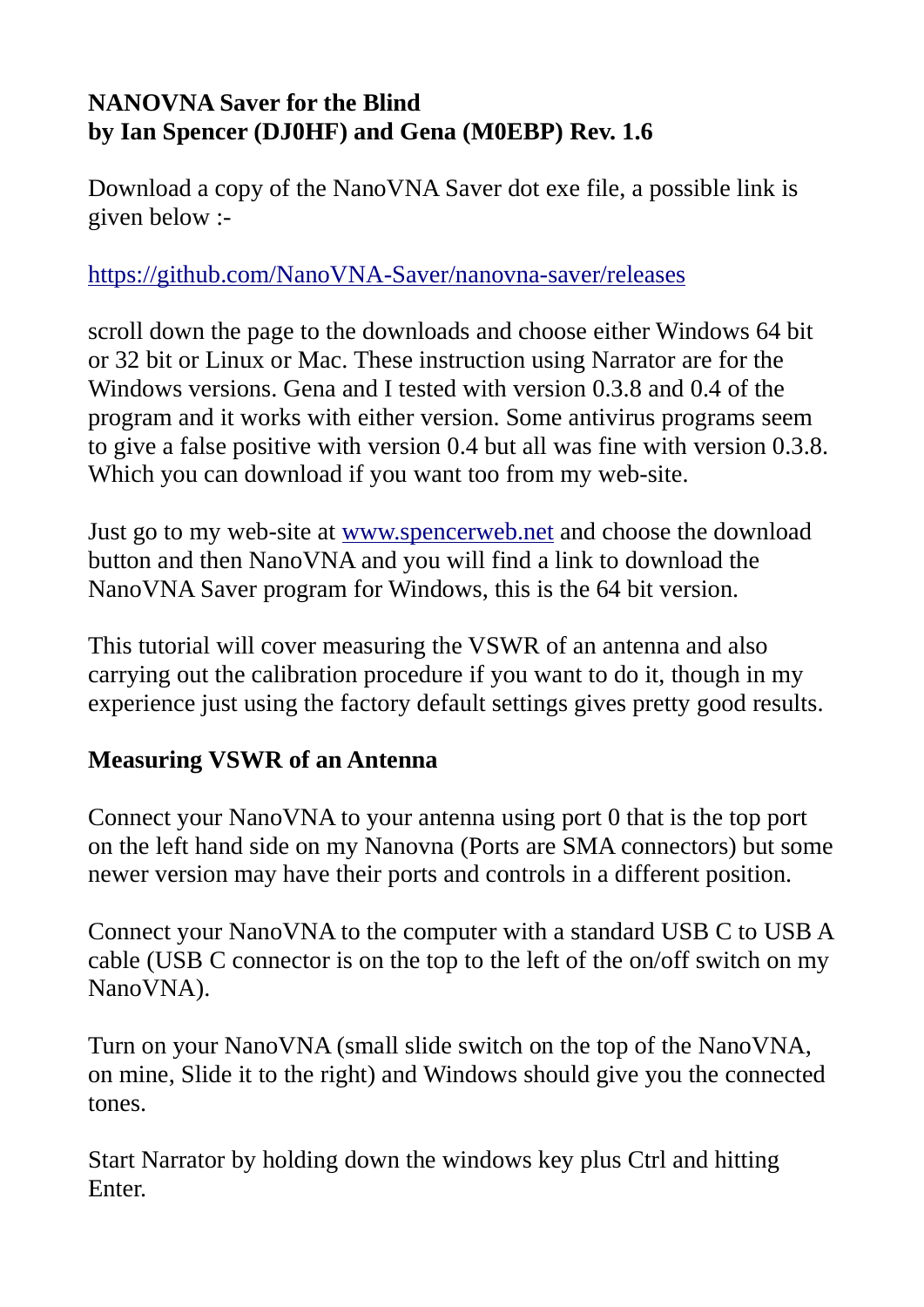## NANOVNA Saver for the Blind by Ian Spencer (DJ0HF) and Gena (M0EBP) Rev. 1.6

Download a copy of the NanoVNA Saver dot exe file, a possible link is given below :-

## https://github.com/NanoVNA-Saver/nanovna-saver/releases

scroll down the page to the downloads and choose either Windows 64 bit or 32 bit or Linux or Mac. These instruction using Narrator are for the Windows versions. Gena and I tested with version 0.3.8 and 0.4 of the program and it works with either version. Some antivirus programs seem to give a false positive with version 0.4 but all was fine with version 0.3.8. Which you can download if you want too from my web-site.

Just go to my web-site at www.spencerweb.net and choose the download button and then NanoVNA and you will find a link to download the NanoVNA Saver program for Windows, this is the 64 bit version.

This tutorial will cover measuring the VSWR of an antenna and also carrying out the calibration procedure if you want to do it, though in my experience just using the factory default settings gives pretty good results.

## Measuring VSWR of an Antenna

Connect your NanoVNA to your antenna using port 0 that is the top port on the left hand side on my Nanovna (Ports are SMA connectors) but some newer version may have their ports and controls in a different position.

Connect your NanoVNA to the computer with a standard USB C to USB A cable (USB C connector is on the top to the left of the on/off switch on my NanoVNA).

Turn on your NanoVNA (small slide switch on the top of the NanoVNA, on mine, Slide it to the right) and Windows should give you the connected tones.

Start Narrator by holding down the windows key plus Ctrl and hitting Enter.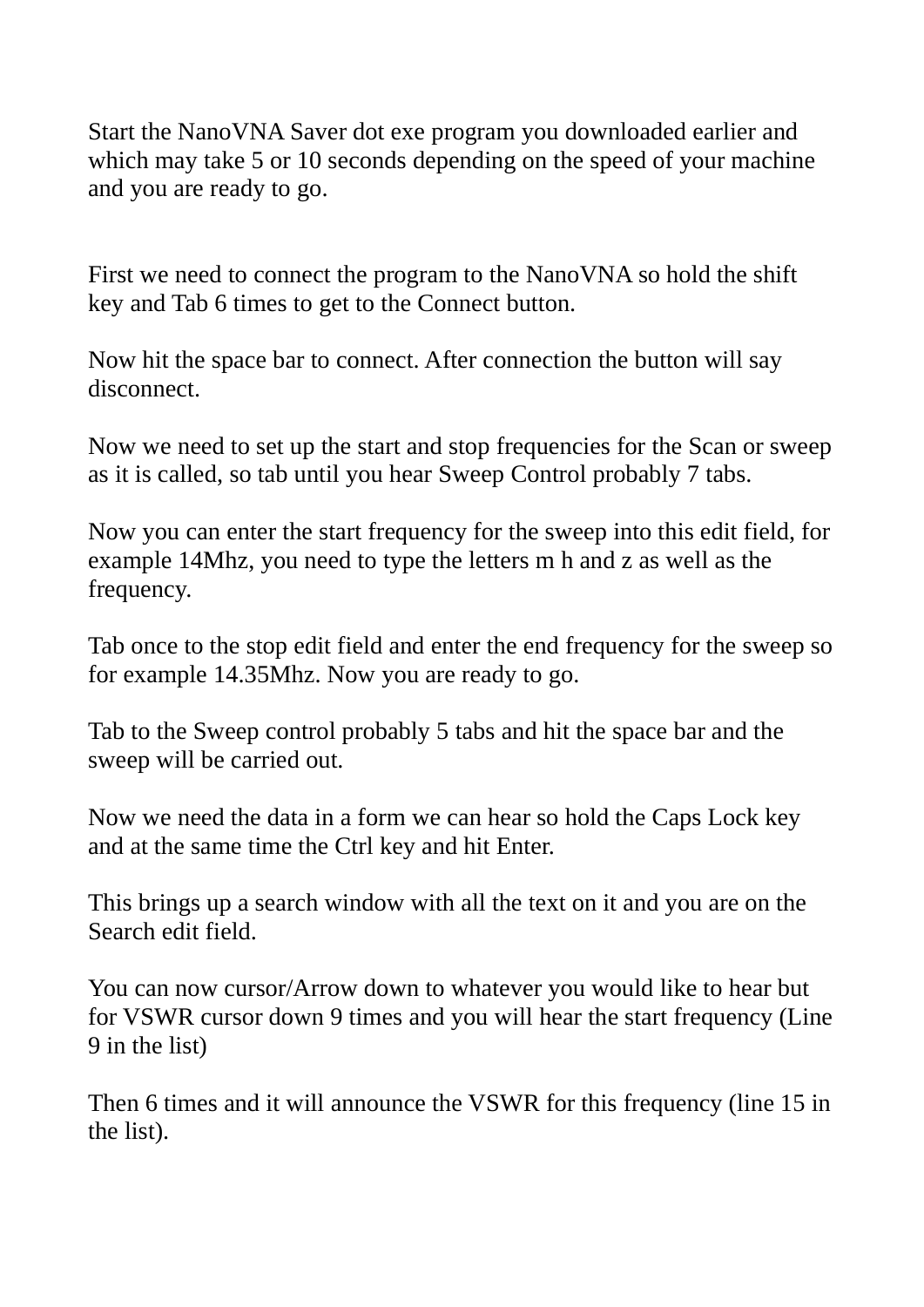Start the NanoVNA Saver dot exe program you downloaded earlier and which may take 5 or 10 seconds depending on the speed of your machine and you are ready to go.

First we need to connect the program to the NanoVNA so hold the shift key and Tab 6 times to get to the Connect button.

Now hit the space bar to connect. After connection the button will say disconnect.

Now we need to set up the start and stop frequencies for the Scan or sweep as it is called, so tab until you hear Sweep Control probably 7 tabs.

Now you can enter the start frequency for the sweep into this edit field, for example 14Mhz, you need to type the letters m h and z as well as the frequency.

Tab once to the stop edit field and enter the end frequency for the sweep so for example 14.35Mhz. Now you are ready to go.

Tab to the Sweep control probably 5 tabs and hit the space bar and the sweep will be carried out.

Now we need the data in a form we can hear so hold the Caps Lock key and at the same time the Ctrl key and hit Enter.

This brings up a search window with all the text on it and you are on the Search edit field.

You can now cursor/Arrow down to whatever you would like to hear but for VSWR cursor down 9 times and you will hear the start frequency (Line 9 in the list)

Then 6 times and it will announce the VSWR for this frequency (line 15 in the list).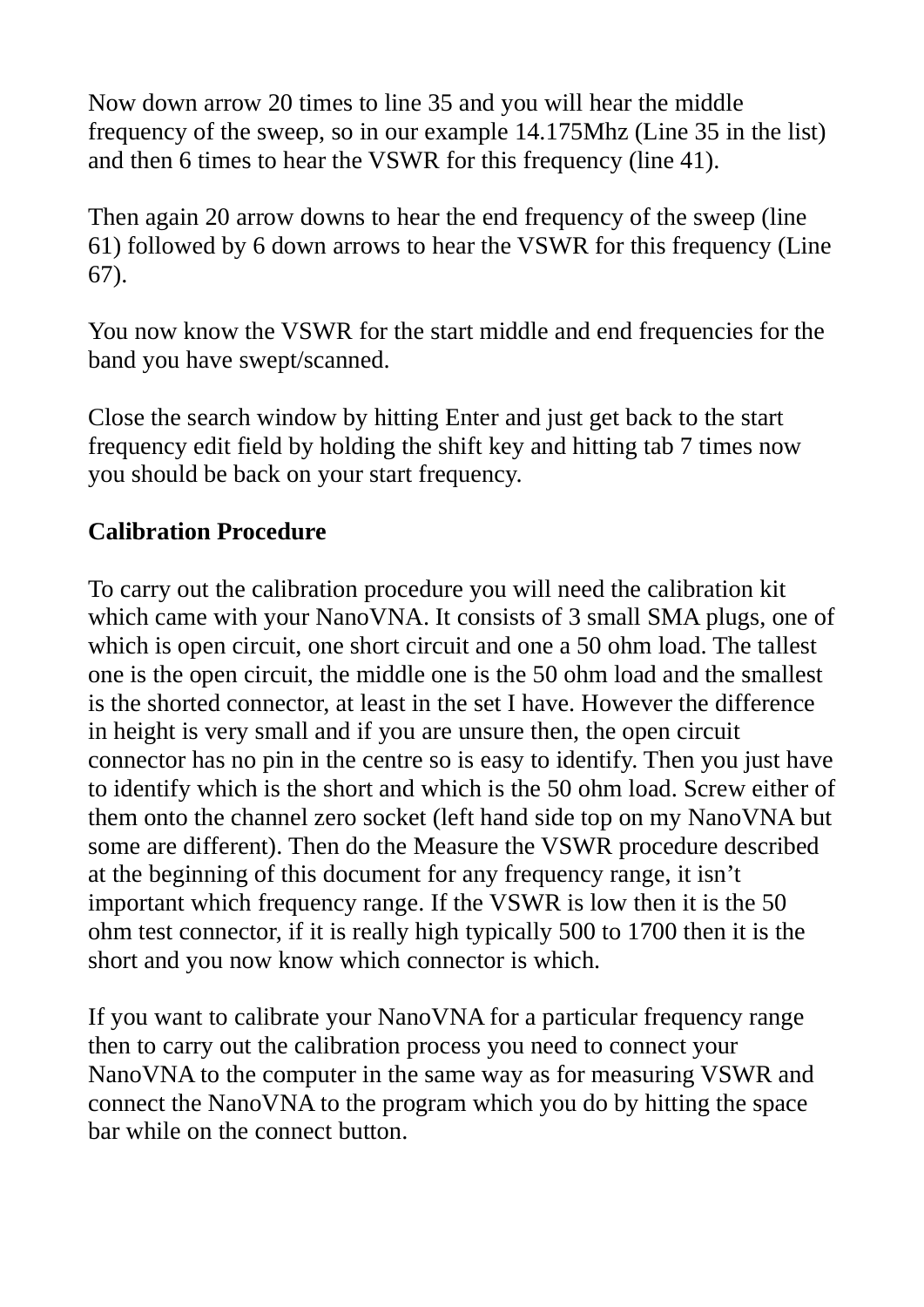Now down arrow 20 times to line 35 and you will hear the middle frequency of the sweep, so in our example 14.175Mhz (Line 35 in the list) and then 6 times to hear the VSWR for this frequency (line 41).

Then again 20 arrow downs to hear the end frequency of the sweep (line 61) followed by 6 down arrows to hear the VSWR for this frequency (Line 67).

You now know the VSWR for the start middle and end frequencies for the band you have swept/scanned.

Close the search window by hitting Enter and just get back to the start frequency edit field by holding the shift key and hitting tab 7 times now you should be back on your start frequency.

## Calibration Procedure

To carry out the calibration procedure you will need the calibration kit which came with your NanoVNA. It consists of 3 small SMA plugs, one of which is open circuit, one short circuit and one a 50 ohm load. The tallest one is the open circuit, the middle one is the 50 ohm load and the smallest is the shorted connector, at least in the set I have. However the difference in height is very small and if you are unsure then, the open circuit connector has no pin in the centre so is easy to identify. Then you just have to identify which is the short and which is the 50 ohm load. Screw either of them onto the channel zero socket (left hand side top on my NanoVNA but some are different). Then do the Measure the VSWR procedure described at the beginning of this document for any frequency range, it isn't important which frequency range. If the VSWR is low then it is the 50 ohm test connector, if it is really high typically 500 to 1700 then it is the short and you now know which connector is which.

If you want to calibrate your NanoVNA for a particular frequency range then to carry out the calibration process you need to connect your NanoVNA to the computer in the same way as for measuring VSWR and connect the NanoVNA to the program which you do by hitting the space bar while on the connect button.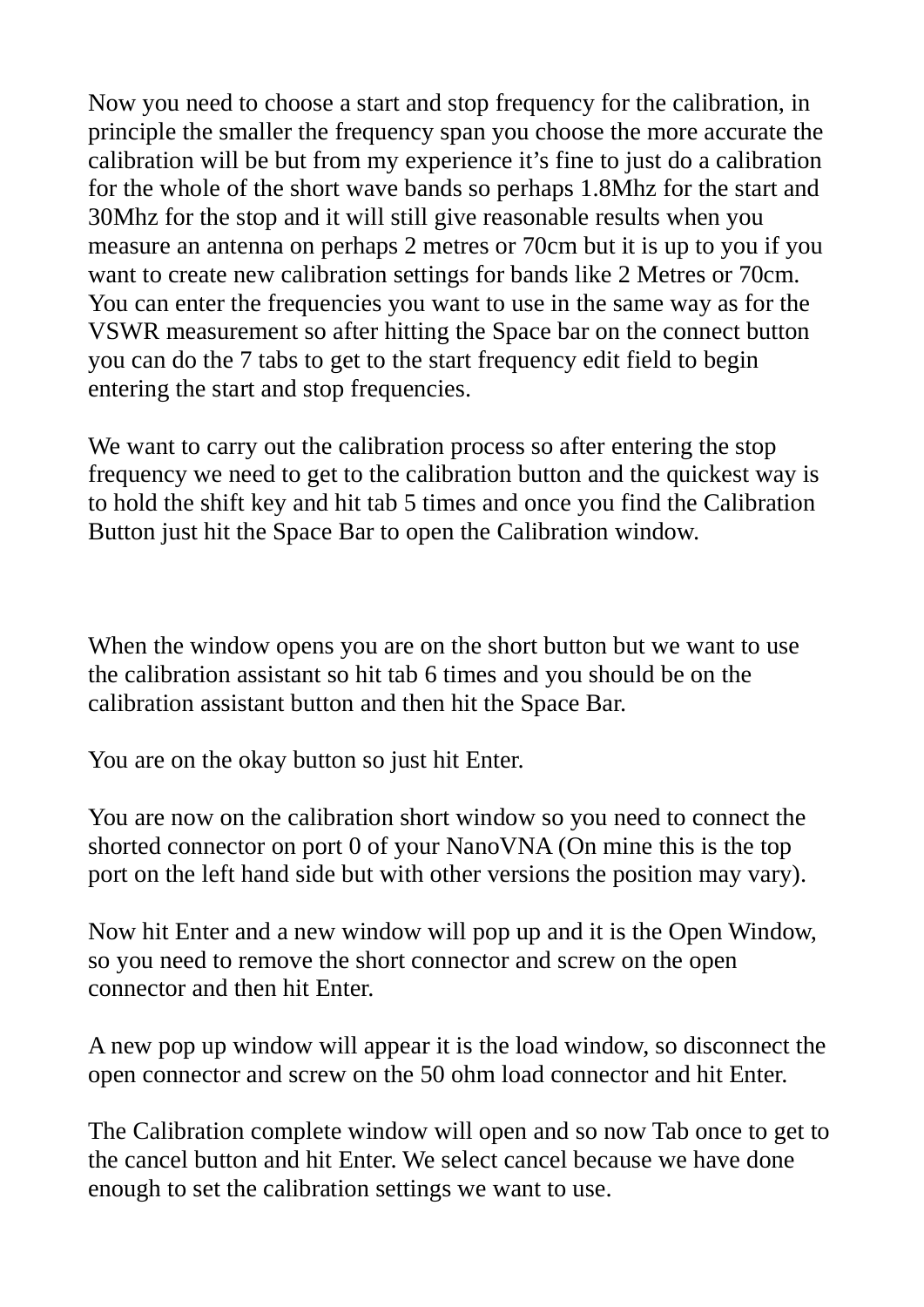Now you need to choose a start and stop frequency for the calibration, in principle the smaller the frequency span you choose the more accurate the calibration will be but from my experience it's fine to just do a calibration for the whole of the short wave bands so perhaps 1.8Mhz for the start and 30Mhz for the stop and it will still give reasonable results when you measure an antenna on perhaps 2 metres or 70cm but it is up to you if you want to create new calibration settings for bands like 2 Metres or 70cm. You can enter the frequencies you want to use in the same way as for the VSWR measurement so after hitting the Space bar on the connect button you can do the 7 tabs to get to the start frequency edit field to begin entering the start and stop frequencies.

We want to carry out the calibration process so after entering the stop frequency we need to get to the calibration button and the quickest way is to hold the shift key and hit tab 5 times and once you find the Calibration Button just hit the Space Bar to open the Calibration window.

When the window opens you are on the short button but we want to use the calibration assistant so hit tab 6 times and you should be on the calibration assistant button and then hit the Space Bar.

You are on the okay button so just hit Enter.

You are now on the calibration short window so you need to connect the shorted connector on port 0 of your NanoVNA (On mine this is the top port on the left hand side but with other versions the position may vary).

Now hit Enter and a new window will pop up and it is the Open Window, so you need to remove the short connector and screw on the open connector and then hit Enter.

A new pop up window will appear it is the load window, so disconnect the open connector and screw on the 50 ohm load connector and hit Enter.

The Calibration complete window will open and so now Tab once to get to the cancel button and hit Enter. We select cancel because we have done enough to set the calibration settings we want to use.